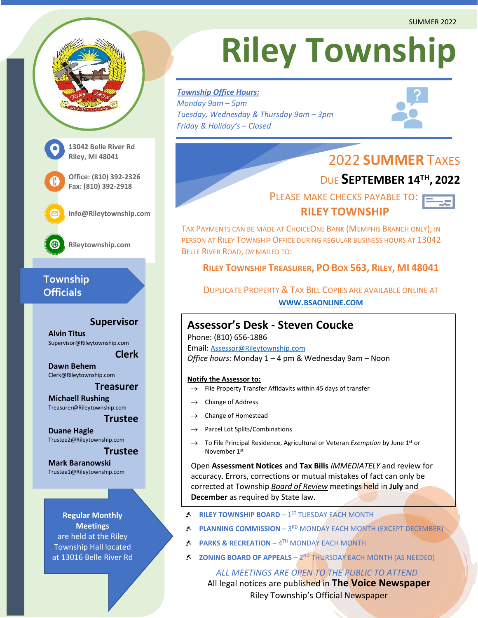

# **Township Officials**

#### **Supervisor**

**Alvin Titus** Supervisor@Rileytownship.com

**Dawn Behem** Clerk@Rileytownship.com

#### **Treasurer**

**Clerk**

**Michaell Rushing** Treasurer@Rileytownship.com

#### **Trustee**

**Duane Hagle** Trustee2@Rileytownship.com

#### **Trustee**

**Mark Baranowski** Trustee1@Rileytownship.com

**Regular Monthly Meetings** are held at the Riley Township Hall located at 13016 Belle River Rd

# **Riley Township**

*Township Office Hours: Monday 9am – 5pm Tuesday, Wednesday & Thursday 9am – 3pm Friday & Holiday's – Closed*



# 2022 **SUMMER** TAXES

# DUE **SEPTEMBER 14TH , 2022**

 PLEASE MAKE CHECKS PAYABLE TO:  **RILEY TOWNSHIP**



TAX PAYMENTS CAN BE MADE AT CHOICEONE BANK (MEMPHIS BRANCH ONLY), IN PERSON AT RILEY TOWNSHIP OFFICE DURING REGULAR BUSINESS HOURS AT 13042 BELLE RIVER ROAD, *OR* MAILED TO:

#### **RILEY TOWNSHIP TREASURER, PO BOX 563, RILEY, MI 48041**

DUPLICATE PROPERTY & TAX BILL COPIES ARE AVAILABLE ONLINE AT **WWW.[BSAONLINE](http://www.bsaonline.com/).COM**

### **Assessor's Desk - Steven Coucke**

Phone: (810) 656-1886 Email: [Assessor@Rileytownship.com](mailto:Assessor@Rileytownship.com) *Office hours:* Monday 1 – 4 pm & Wednesday 9am – Noon

#### **Notify the Assessor to:**

- $\rightarrow$  File Property Transfer Affidavits within 45 days of transfer
- Change of Address
- Change of Homestead
- Parcel Lot Splits/Combinations
- → To File Principal Residence, Agricultural or Veteran *Exemption* by June 1st or November 1<sup>st</sup>

Open **Assessment Notices** and **Tax Bills** *IMMEDIATELY* and review for accuracy. Errors, corrections or mutual mistakes of fact can only be corrected at Township *Board of Review* meetings held in **July** and **December** as required by State law.

- **RILEY TOWNSHIP BOARD** 1<sup>ST</sup> TUESDAY EACH MONTH
- **PLANNING COMMISSION** 3<sup>RD</sup> MONDAY EACH MONTH (EXCEPT DECEMBER)
- **PARKS & RECREATION** 4TH MONDAY EACH MONTH
- **ZONING BOARD OF APPEALS** 2<sup>ND</sup> THURSDAY EACH MONTH (AS NEEDED)

All legal notices are published in **The Voice Newspaper** Riley Township's Official Newspaper *ALL MEETINGS ARE OPEN TO THE PUBLIC TO ATTEND*